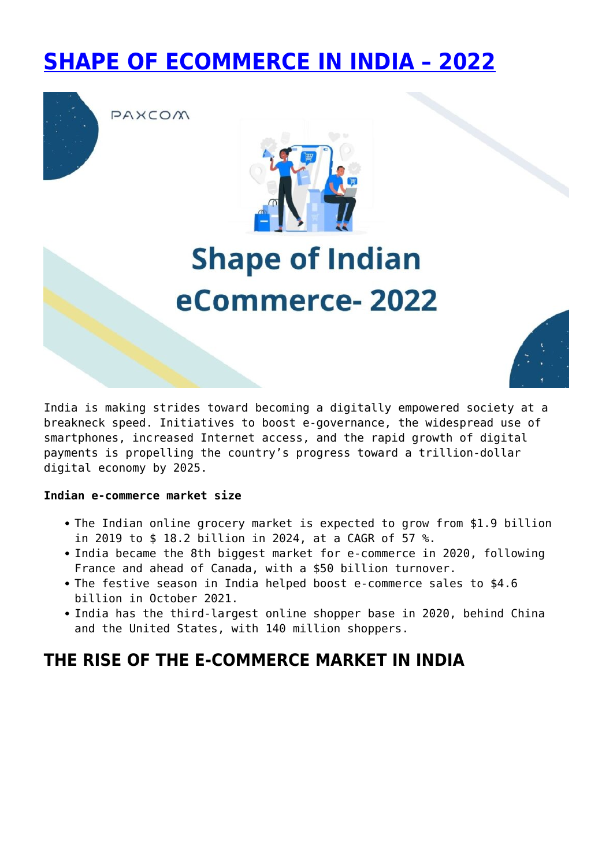## **[SHAPE OF ECOMMERCE IN INDIA – 2022](https://paxcom.ai/blog/shape-of-indian-ecommerce-in-2022/)**



PAXCOM



# **Shape of Indian** eCommerce-2022



India is making strides toward becoming a digitally empowered society at a breakneck speed. Initiatives to boost e-governance, the widespread use of smartphones, increased Internet access, and the rapid growth of digital payments is propelling the country's progress toward a trillion-dollar digital economy by 2025.

#### **Indian e-commerce market size**

- The Indian online grocery market is expected to grow from \$1.9 billion in 2019 to \$ 18.2 billion in 2024, at a CAGR of 57 %.
- India became the 8th biggest market for e-commerce in 2020, following France and ahead of Canada, with a \$50 billion turnover.
- The festive season in India helped boost e-commerce sales to \$4.6 billion in October 2021.
- India has the third-largest online shopper base in 2020, behind China and the United States, with 140 million shoppers.

## **THE RISE OF THE E-COMMERCE MARKET IN INDIA**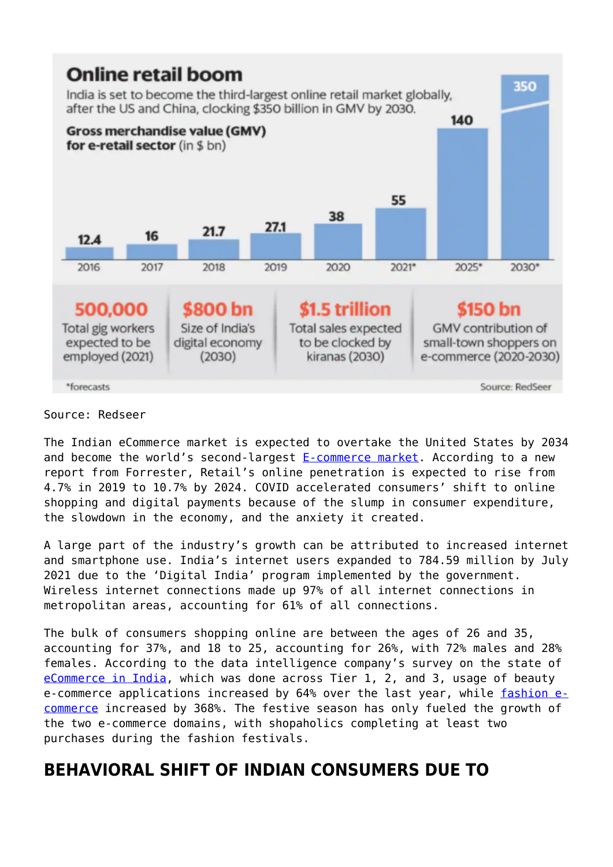

#### Source: Redseer

The Indian eCommerce market is expected to overtake the United States by 2034 and become the world's second-largest **E**-commerce market. According to a new report from Forrester, Retail's online penetration is expected to rise from 4.7% in 2019 to 10.7% by 2024. COVID accelerated consumers' shift to online shopping and digital payments because of the slump in consumer expenditure, the slowdown in the economy, and the anxiety it created.

A large part of the industry's growth can be attributed to increased internet and smartphone use. India's internet users expanded to 784.59 million by July 2021 due to the 'Digital India' program implemented by the government. Wireless internet connections made up 97% of all internet connections in metropolitan areas, accounting for 61% of all connections.

The bulk of consumers shopping online are between the ages of 26 and 35, accounting for 37%, and 18 to 25, accounting for 26%, with 72% males and 28% females. According to the data intelligence company's survey on the state of [eCommerce in India,](https://paxcom.ai/blog/beauty-ecommerce-in-india/) which was done across Tier 1, 2, and 3, usage of beauty e-commerce applications increased by 64% over the last year, while [fashion e](https://paxcom.ai/blog/fashion-and-beauty-ecommerce-trends-in-southeast-asia/)[commerce](https://paxcom.ai/blog/fashion-and-beauty-ecommerce-trends-in-southeast-asia/) increased by 368%. The festive season has only fueled the growth of the two e-commerce domains, with shopaholics completing at least two purchases during the fashion festivals.

## **BEHAVIORAL SHIFT OF INDIAN CONSUMERS DUE TO**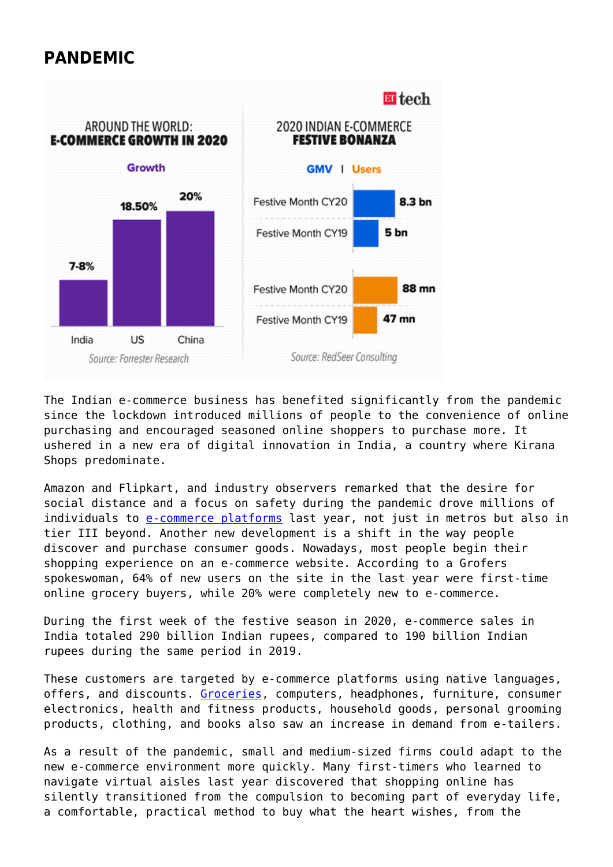## **PANDEMIC**



The Indian e-commerce business has benefited significantly from the pandemic since the lockdown introduced millions of people to the convenience of online purchasing and encouraged seasoned online shoppers to purchase more. It ushered in a new era of digital innovation in India, a country where Kirana Shops predominate.

Amazon and Flipkart, and industry observers remarked that the desire for social distance and a focus on safety during the pandemic drove millions of individuals to [e-commerce platforms](https://paxcom.ai/blog/boost-conversions-by-image-optimization/) last year, not just in metros but also in tier III beyond. Another new development is a shift in the way people discover and purchase consumer goods. Nowadays, most people begin their shopping experience on an e-commerce website. According to a Grofers spokeswoman, 64% of new users on the site in the last year were first-time online grocery buyers, while 20% were completely new to e-commerce.

During the first week of the festive season in 2020, e-commerce sales in India totaled 290 billion Indian rupees, compared to 190 billion Indian rupees during the same period in 2019.

These customers are targeted by e-commerce platforms using native languages, offers, and discounts. [Groceries](https://paxcom.ai/blog/whats-in-store-for-indian-egrocery-market/), computers, headphones, furniture, consumer electronics, health and fitness products, household goods, personal grooming products, clothing, and books also saw an increase in demand from e-tailers.

As a result of the pandemic, small and medium-sized firms could adapt to the new e-commerce environment more quickly. Many first-timers who learned to navigate virtual aisles last year discovered that shopping online has silently transitioned from the compulsion to becoming part of everyday life, a comfortable, practical method to buy what the heart wishes, from the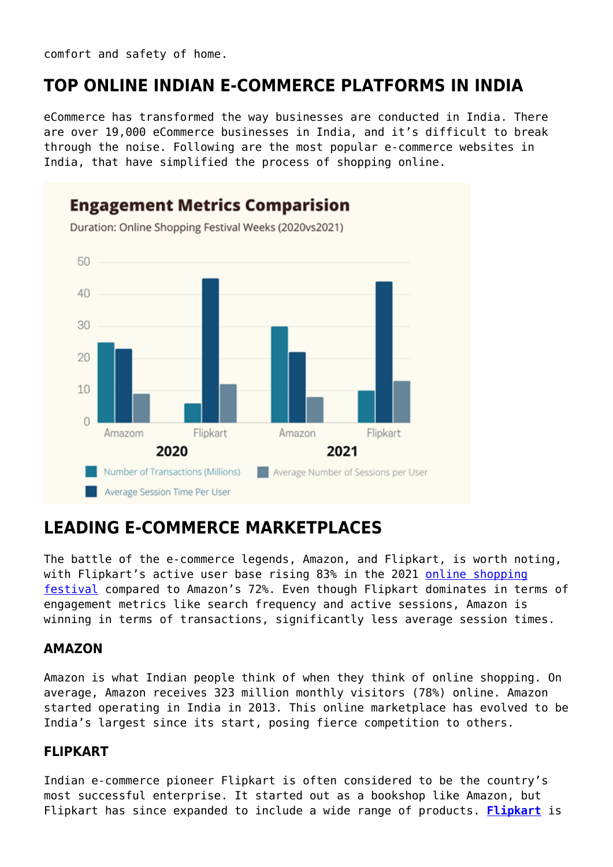comfort and safety of home.

## **TOP ONLINE INDIAN E-COMMERCE PLATFORMS IN INDIA**

eCommerce has transformed the way businesses are conducted in India. There are over 19,000 eCommerce businesses in India, and it's difficult to break through the noise. Following are the most popular e-commerce websites in India, that have simplified the process of shopping online.



## **LEADING E-COMMERCE MARKETPLACES**

The battle of the e-commerce legends, Amazon, and Flipkart, is worth noting, with Flipkart's active user base rising 83% in the 2021 [online shopping](https://paxcom.ai/blog/ecommerce-business-strategy-for-festive-season/) [festival](https://paxcom.ai/blog/ecommerce-business-strategy-for-festive-season/) compared to Amazon's 72%. Even though Flipkart dominates in terms of engagement metrics like search frequency and active sessions, Amazon is winning in terms of transactions, significantly less average session times.

#### **AMAZON**

Amazon is what Indian people think of when they think of online shopping. On average, Amazon receives 323 million monthly visitors (78%) online. Amazon started operating in India in 2013. This online marketplace has evolved to be India's largest since its start, posing fierce competition to others.

#### **FLIPKART**

Indian e-commerce pioneer Flipkart is often considered to be the country's most successful enterprise. It started out as a bookshop like Amazon, but Flipkart has since expanded to include a wide range of products. **[Flipkart](https://en.wikipedia.org/wiki/Flipkart)** is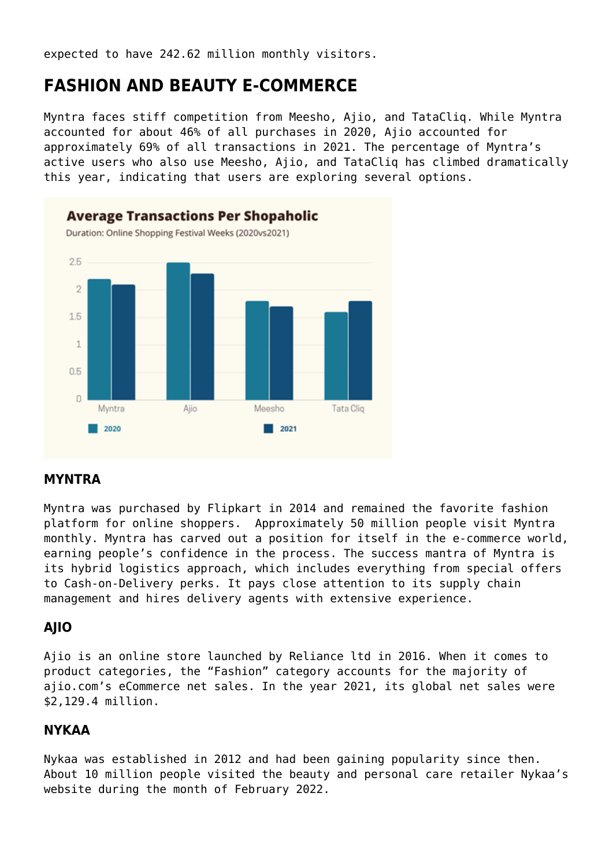expected to have 242.62 million monthly visitors.

## **FASHION AND BEAUTY E-COMMERCE**

Myntra faces stiff competition from Meesho, Ajio, and TataCliq. While Myntra accounted for about 46% of all purchases in 2020, Ajio accounted for approximately 69% of all transactions in 2021. The percentage of Myntra's active users who also use Meesho, Ajio, and TataCliq has climbed dramatically this year, indicating that users are exploring several options.



#### **MYNTRA**

Myntra was purchased by Flipkart in 2014 and remained the favorite fashion platform for online shoppers. Approximately 50 million people visit Myntra monthly. Myntra has carved out a position for itself in the e-commerce world, earning people's confidence in the process. The success mantra of Myntra is its hybrid logistics approach, which includes everything from special offers to Cash-on-Delivery perks. It pays close attention to its supply chain management and hires delivery agents with extensive experience.

#### **AJIO**

Ajio is an online store launched by Reliance ltd in 2016. When it comes to product categories, the "Fashion" category accounts for the majority of ajio.com's eCommerce net sales. In the year 2021, its global net sales were \$2,129.4 million.

#### **NYKAA**

Nykaa was established in 2012 and had been gaining popularity since then. About 10 million people visited the beauty and personal care retailer Nykaa's website during the month of February 2022.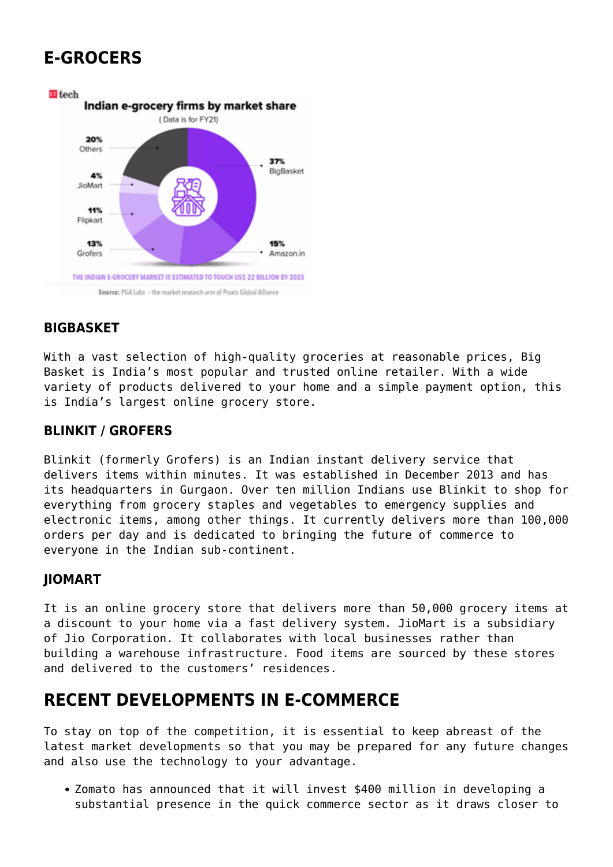## **E-GROCERS**



#### **BIGBASKET**

With a vast selection of high-quality groceries at reasonable prices, Big Basket is India's most popular and trusted online retailer. With a wide variety of products delivered to your home and a simple payment option, this is India's largest online grocery store.

#### **BLINKIT / GROFERS**

Blinkit (formerly Grofers) is an Indian instant delivery service that delivers items within minutes. It was established in December 2013 and has its headquarters in Gurgaon. Over ten million Indians use Blinkit to shop for everything from grocery staples and vegetables to emergency supplies and electronic items, among other things. It currently delivers more than 100,000 orders per day and is dedicated to bringing the future of commerce to everyone in the Indian sub-continent.

#### **JIOMART**

It is an online grocery store that delivers more than 50,000 grocery items at a discount to your home via a fast delivery system. JioMart is a subsidiary of Jio Corporation. It collaborates with local businesses rather than building a warehouse infrastructure. Food items are sourced by these stores and delivered to the customers' residences.

## **RECENT DEVELOPMENTS IN E-COMMERCE**

To stay on top of the competition, it is essential to keep abreast of the latest market developments so that you may be prepared for any future changes and also use the technology to your advantage.

Zomato has announced that it will invest \$400 million in developing a substantial presence in the quick commerce sector as it draws closer to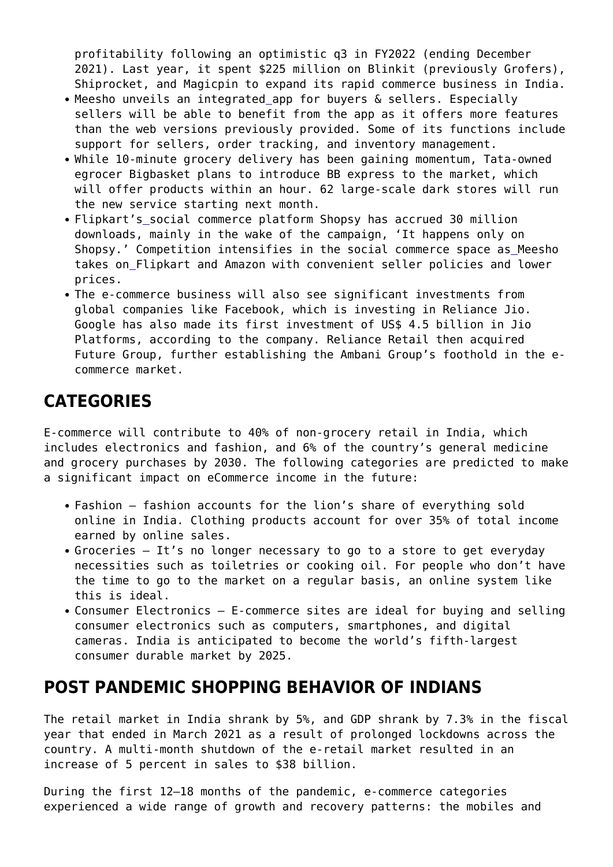profitability following an optimistic q3 in FY2022 (ending December 2021). Last year, it spent \$225 million on Blinkit (previously Grofers), Shiprocket, and Magicpin to expand its rapid commerce business in India.

- Meesho unveils an integrated [a](https://twitter.com/hashtag/app?src=hashtag_click)pp for buyers & sellers. Especially sellers will be able to benefit from the app as it offers more features than the web versions previously provided. Some of its functions include support for sellers, order tracking, and inventory management.
- While 10-minute grocery delivery has been gaining momentum, Tata-owned egrocer Bigbasket plans to introduce BB express to the market, which will offer products within an hour. 62 large-scale dark stores will run the new service starting next month.
- Flipkart's social commerce platform Shopsy has accrued 30 million downloads, mainly in the wake of the campaign, 'It happens only on Shopsy.' Competition intensifies in the social commerce space a[s](https://twitter.com/hashtag/Meesho?src=hashtag_click) Meesho takes o[n](https://twitter.com/hashtag/Flipkart?src=hashtag_click) Flipkart and Amazon with convenient seller policies and lower prices.
- The e-commerce business will also see significant investments from global companies like Facebook, which is investing in Reliance Jio. Google has also made its first investment of US\$ 4.5 billion in Jio Platforms, according to the company. Reliance Retail then acquired Future Group, further establishing the Ambani Group's foothold in the ecommerce market.

## **CATEGORIES**

E-commerce will contribute to 40% of non-grocery retail in India, which includes electronics and fashion, and 6% of the country's general medicine and grocery purchases by 2030. The following categories are predicted to make a significant impact on eCommerce income in the future:

- Fashion fashion accounts for the lion's share of everything sold online in India. Clothing products account for over 35% of total income earned by online sales.
- Groceries It's no longer necessary to go to a store to get everyday necessities such as toiletries or cooking oil. For people who don't have the time to go to the market on a regular basis, an online system like this is ideal.
- Consumer Electronics E-commerce sites are ideal for buying and selling consumer electronics such as computers, smartphones, and digital cameras. India is anticipated to become the world's fifth-largest consumer durable market by 2025.

### **POST PANDEMIC SHOPPING BEHAVIOR OF INDIANS**

The retail market in India shrank by 5%, and GDP shrank by 7.3% in the fiscal year that ended in March 2021 as a result of prolonged lockdowns across the country. A multi-month shutdown of the e-retail market resulted in an increase of 5 percent in sales to \$38 billion.

During the first 12–18 months of the pandemic, e-commerce categories experienced a wide range of growth and recovery patterns: the mobiles and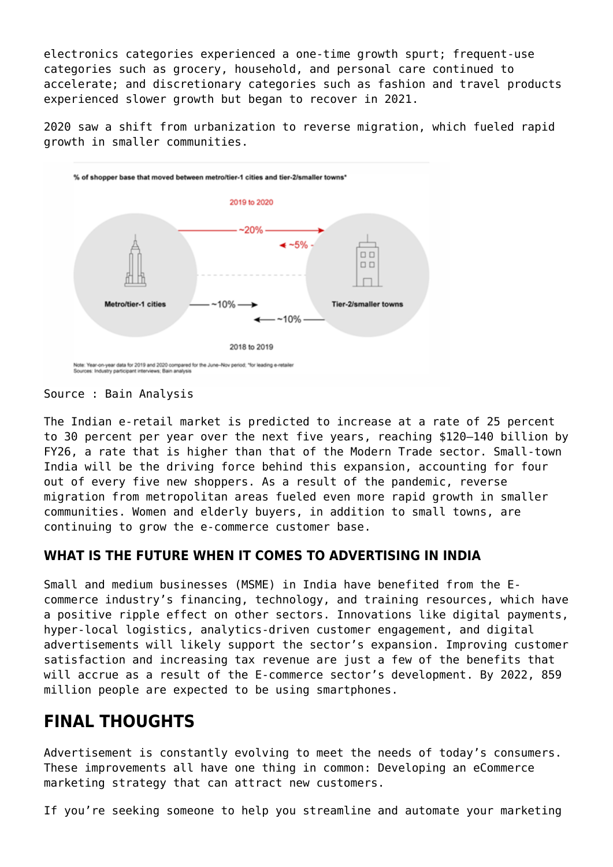electronics categories experienced a one-time growth spurt; frequent-use categories such as grocery, household, and personal care continued to accelerate; and discretionary categories such as fashion and travel products experienced slower growth but began to recover in 2021.

2020 saw a shift from urbanization to reverse migration, which fueled rapid growth in smaller communities.



Source : Bain Analysis

The Indian e-retail market is predicted to increase at a rate of 25 percent to 30 percent per year over the next five years, reaching \$120–140 billion by FY26, a rate that is higher than that of the Modern Trade sector. Small-town India will be the driving force behind this expansion, accounting for four out of every five new shoppers. As a result of the pandemic, reverse migration from metropolitan areas fueled even more rapid growth in smaller communities. Women and elderly buyers, in addition to small towns, are continuing to grow the e-commerce customer base.

#### **WHAT IS THE FUTURE WHEN IT COMES TO ADVERTISING IN INDIA**

Small and medium businesses (MSME) in India have benefited from the Ecommerce industry's financing, technology, and training resources, which have a positive ripple effect on other sectors. Innovations like digital payments, hyper-local logistics, analytics-driven customer engagement, and digital advertisements will likely support the sector's expansion. Improving customer satisfaction and increasing tax revenue are just a few of the benefits that will accrue as a result of the E-commerce sector's development. By 2022, 859 million people are expected to be using smartphones.

## **FINAL THOUGHTS**

Advertisement is constantly evolving to meet the needs of today's consumers. These improvements all have one thing in common: Developing an eCommerce marketing strategy that can attract new customers.

If you're seeking someone to help you streamline and automate your marketing